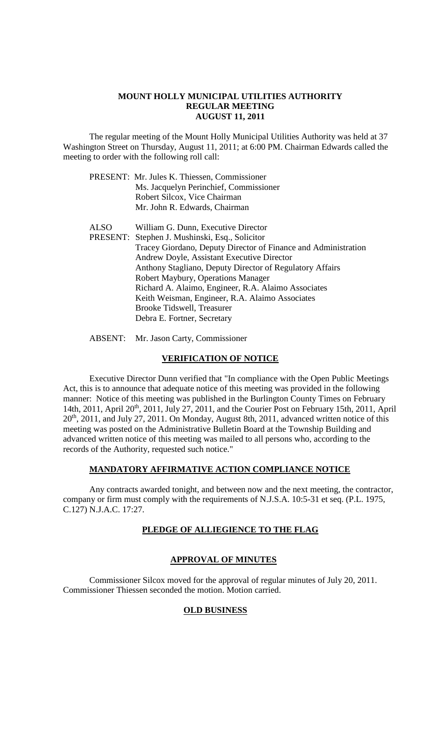#### **MOUNT HOLLY MUNICIPAL UTILITIES AUTHORITY REGULAR MEETING AUGUST 11, 2011**

The regular meeting of the Mount Holly Municipal Utilities Authority was held at 37 Washington Street on Thursday, August 11, 2011; at 6:00 PM. Chairman Edwards called the meeting to order with the following roll call:

| PRESENT: Mr. Jules K. Thiessen, Commissioner |
|----------------------------------------------|
| Ms. Jacquelyn Perinchief, Commissioner       |
| Robert Silcox, Vice Chairman                 |
| Mr. John R. Edwards, Chairman                |

ALSO William G. Dunn, Executive Director PRESENT: Stephen J. Mushinski, Esq., Solicitor Tracey Giordano, Deputy Director of Finance and Administration Andrew Doyle, Assistant Executive Director Anthony Stagliano, Deputy Director of Regulatory Affairs Robert Maybury, Operations Manager Richard A. Alaimo, Engineer, R.A. Alaimo Associates Keith Weisman, Engineer, R.A. Alaimo Associates Brooke Tidswell, Treasurer Debra E. Fortner, Secretary

ABSENT: Mr. Jason Carty, Commissioner

#### **VERIFICATION OF NOTICE**

Executive Director Dunn verified that "In compliance with the Open Public Meetings Act, this is to announce that adequate notice of this meeting was provided in the following manner: Notice of this meeting was published in the Burlington County Times on February 14th, 2011, April 20<sup>th</sup>, 2011, July 27, 2011, and the Courier Post on February 15th, 2011, April 20th, 2011, and July 27, 2011. On Monday, August 8th, 2011, advanced written notice of this meeting was posted on the Administrative Bulletin Board at the Township Building and advanced written notice of this meeting was mailed to all persons who, according to the records of the Authority, requested such notice."

# **MANDATORY AFFIRMATIVE ACTION COMPLIANCE NOTICE**

Any contracts awarded tonight, and between now and the next meeting, the contractor, company or firm must comply with the requirements of N.J.S.A. 10:5-31 et seq. (P.L. 1975, C.127) N.J.A.C. 17:27.

## **PLEDGE OF ALLIEGIENCE TO THE FLAG**

## **APPROVAL OF MINUTES**

Commissioner Silcox moved for the approval of regular minutes of July 20, 2011. Commissioner Thiessen seconded the motion. Motion carried.

#### **OLD BUSINESS**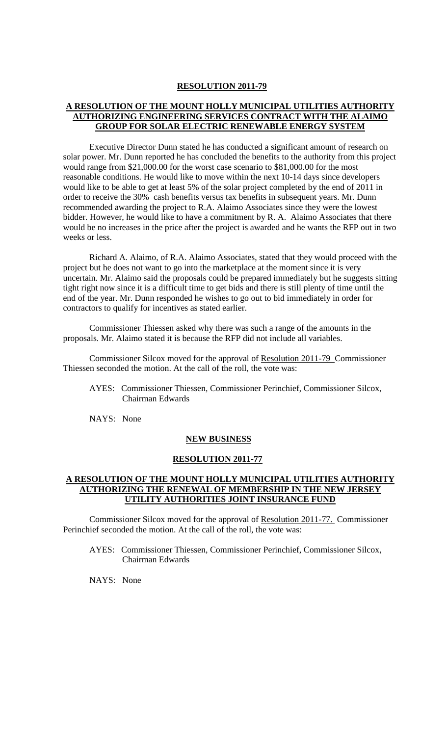#### **A RESOLUTION OF THE MOUNT HOLLY MUNICIPAL UTILITIES AUTHORITY AUTHORIZING ENGINEERING SERVICES CONTRACT WITH THE ALAIMO GROUP FOR SOLAR ELECTRIC RENEWABLE ENERGY SYSTEM**

Executive Director Dunn stated he has conducted a significant amount of research on solar power. Mr. Dunn reported he has concluded the benefits to the authority from this project would range from \$21,000.00 for the worst case scenario to \$81,000.00 for the most reasonable conditions. He would like to move within the next 10-14 days since developers would like to be able to get at least 5% of the solar project completed by the end of 2011 in order to receive the 30% cash benefits versus tax benefits in subsequent years. Mr. Dunn recommended awarding the project to R.A. Alaimo Associates since they were the lowest bidder. However, he would like to have a commitment by R. A. Alaimo Associates that there would be no increases in the price after the project is awarded and he wants the RFP out in two weeks or less.

Richard A. Alaimo, of R.A. Alaimo Associates, stated that they would proceed with the project but he does not want to go into the marketplace at the moment since it is very uncertain. Mr. Alaimo said the proposals could be prepared immediately but he suggests sitting tight right now since it is a difficult time to get bids and there is still plenty of time until the end of the year. Mr. Dunn responded he wishes to go out to bid immediately in order for contractors to qualify for incentives as stated earlier.

Commissioner Thiessen asked why there was such a range of the amounts in the proposals. Mr. Alaimo stated it is because the RFP did not include all variables.

Commissioner Silcox moved for the approval of Resolution 2011-79 Commissioner Thiessen seconded the motion. At the call of the roll, the vote was:

AYES: Commissioner Thiessen, Commissioner Perinchief, Commissioner Silcox, Chairman Edwards

NAYS: None

#### **NEW BUSINESS**

#### **RESOLUTION 2011-77**

#### **A RESOLUTION OF THE MOUNT HOLLY MUNICIPAL UTILITIES AUTHORITY AUTHORIZING THE RENEWAL OF MEMBERSHIP IN THE NEW JERSEY UTILITY AUTHORITIES JOINT INSURANCE FUND**

Commissioner Silcox moved for the approval of Resolution 2011-77. Commissioner Perinchief seconded the motion. At the call of the roll, the vote was:

AYES: Commissioner Thiessen, Commissioner Perinchief, Commissioner Silcox, Chairman Edwards

NAYS: None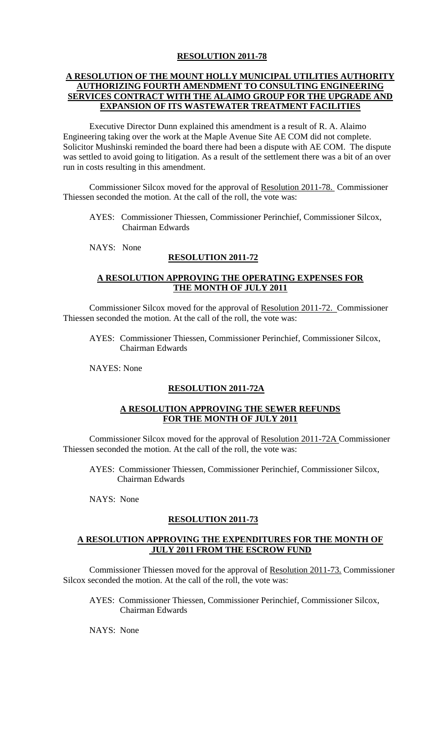## **A RESOLUTION OF THE MOUNT HOLLY MUNICIPAL UTILITIES AUTHORITY AUTHORIZING FOURTH AMENDMENT TO CONSULTING ENGINEERING SERVICES CONTRACT WITH THE ALAIMO GROUP FOR THE UPGRADE AND EXPANSION OF ITS WASTEWATER TREATMENT FACILITIES**

Executive Director Dunn explained this amendment is a result of R. A. Alaimo Engineering taking over the work at the Maple Avenue Site AE COM did not complete. Solicitor Mushinski reminded the board there had been a dispute with AE COM. The dispute was settled to avoid going to litigation. As a result of the settlement there was a bit of an over run in costs resulting in this amendment.

Commissioner Silcox moved for the approval of Resolution 2011-78. Commissioner Thiessen seconded the motion. At the call of the roll, the vote was:

- AYES: Commissioner Thiessen, Commissioner Perinchief, Commissioner Silcox, Chairman Edwards
- NAYS: None

#### **RESOLUTION 2011-72**

#### **A RESOLUTION APPROVING THE OPERATING EXPENSES FOR THE MONTH OF JULY 2011**

Commissioner Silcox moved for the approval of Resolution 2011-72. Commissioner Thiessen seconded the motion. At the call of the roll, the vote was:

AYES: Commissioner Thiessen, Commissioner Perinchief, Commissioner Silcox, Chairman Edwards

NAYES: None

## **RESOLUTION 2011-72A**

#### **A RESOLUTION APPROVING THE SEWER REFUNDS FOR THE MONTH OF JULY 2011**

Commissioner Silcox moved for the approval of Resolution 2011-72A Commissioner Thiessen seconded the motion. At the call of the roll, the vote was:

- AYES: Commissioner Thiessen, Commissioner Perinchief, Commissioner Silcox, Chairman Edwards
- NAYS: None

#### **RESOLUTION 2011-73**

## **A RESOLUTION APPROVING THE EXPENDITURES FOR THE MONTH OF JULY 2011 FROM THE ESCROW FUND**

Commissioner Thiessen moved for the approval of Resolution 2011-73. Commissioner Silcox seconded the motion. At the call of the roll, the vote was:

AYES: Commissioner Thiessen, Commissioner Perinchief, Commissioner Silcox, Chairman Edwards

NAYS: None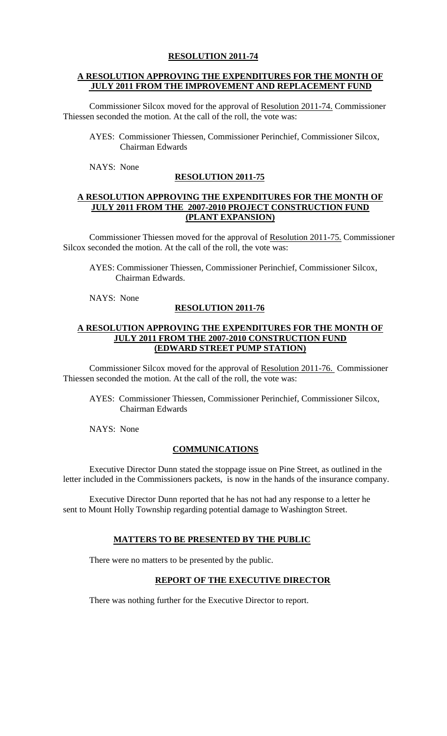## **A RESOLUTION APPROVING THE EXPENDITURES FOR THE MONTH OF JULY 2011 FROM THE IMPROVEMENT AND REPLACEMENT FUND**

Commissioner Silcox moved for the approval of Resolution 2011-74. Commissioner Thiessen seconded the motion. At the call of the roll, the vote was:

- AYES: Commissioner Thiessen, Commissioner Perinchief, Commissioner Silcox, Chairman Edwards
- NAYS: None

## **RESOLUTION 2011-75**

#### **A RESOLUTION APPROVING THE EXPENDITURES FOR THE MONTH OF JULY 2011 FROM THE 2007-2010 PROJECT CONSTRUCTION FUND (PLANT EXPANSION)**

Commissioner Thiessen moved for the approval of Resolution 2011-75. Commissioner Silcox seconded the motion. At the call of the roll, the vote was:

AYES: Commissioner Thiessen, Commissioner Perinchief, Commissioner Silcox, Chairman Edwards.

NAYS: None

## **RESOLUTION 2011-76**

#### **A RESOLUTION APPROVING THE EXPENDITURES FOR THE MONTH OF JULY 2011 FROM THE 2007-2010 CONSTRUCTION FUND (EDWARD STREET PUMP STATION)**

Commissioner Silcox moved for the approval of Resolution 2011-76. Commissioner Thiessen seconded the motion. At the call of the roll, the vote was:

AYES: Commissioner Thiessen, Commissioner Perinchief, Commissioner Silcox, Chairman Edwards

NAYS: None

## **COMMUNICATIONS**

Executive Director Dunn stated the stoppage issue on Pine Street, as outlined in the letter included in the Commissioners packets, is now in the hands of the insurance company.

Executive Director Dunn reported that he has not had any response to a letter he sent to Mount Holly Township regarding potential damage to Washington Street.

#### **MATTERS TO BE PRESENTED BY THE PUBLIC**

There were no matters to be presented by the public.

#### **REPORT OF THE EXECUTIVE DIRECTOR**

There was nothing further for the Executive Director to report.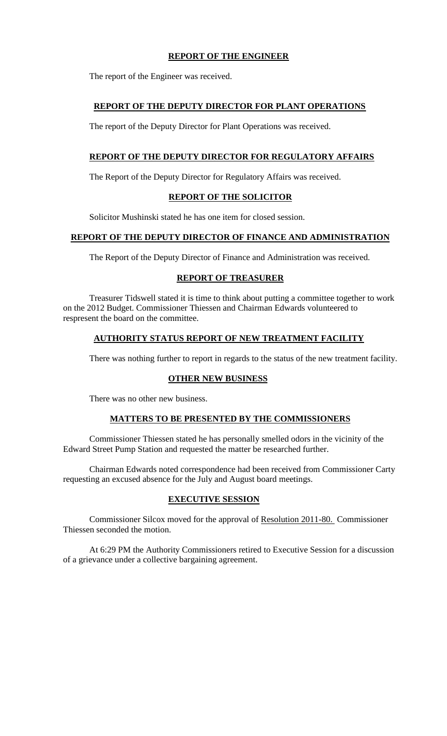# **REPORT OF THE ENGINEER**

The report of the Engineer was received.

## **REPORT OF THE DEPUTY DIRECTOR FOR PLANT OPERATIONS**

The report of the Deputy Director for Plant Operations was received.

# **REPORT OF THE DEPUTY DIRECTOR FOR REGULATORY AFFAIRS**

The Report of the Deputy Director for Regulatory Affairs was received.

# **REPORT OF THE SOLICITOR**

Solicitor Mushinski stated he has one item for closed session.

## **REPORT OF THE DEPUTY DIRECTOR OF FINANCE AND ADMINISTRATION**

The Report of the Deputy Director of Finance and Administration was received.

#### **REPORT OF TREASURER**

Treasurer Tidswell stated it is time to think about putting a committee together to work on the 2012 Budget. Commissioner Thiessen and Chairman Edwards volunteered to respresent the board on the committee.

## **AUTHORITY STATUS REPORT OF NEW TREATMENT FACILITY**

There was nothing further to report in regards to the status of the new treatment facility.

## **OTHER NEW BUSINESS**

There was no other new business.

## **MATTERS TO BE PRESENTED BY THE COMMISSIONERS**

Commissioner Thiessen stated he has personally smelled odors in the vicinity of the Edward Street Pump Station and requested the matter be researched further.

Chairman Edwards noted correspondence had been received from Commissioner Carty requesting an excused absence for the July and August board meetings.

## **EXECUTIVE SESSION**

Commissioner Silcox moved for the approval of Resolution 2011-80. Commissioner Thiessen seconded the motion.

At 6:29 PM the Authority Commissioners retired to Executive Session for a discussion of a grievance under a collective bargaining agreement.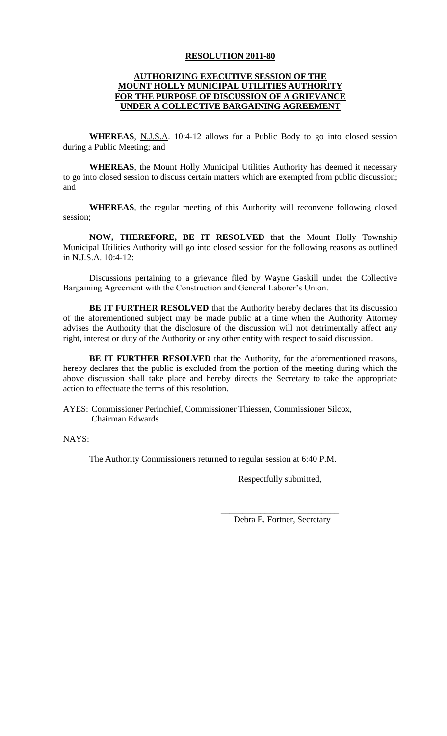## **AUTHORIZING EXECUTIVE SESSION OF THE MOUNT HOLLY MUNICIPAL UTILITIES AUTHORITY FOR THE PURPOSE OF DISCUSSION OF A GRIEVANCE UNDER A COLLECTIVE BARGAINING AGREEMENT**

**WHEREAS**, N.J.S.A. 10:4-12 allows for a Public Body to go into closed session during a Public Meeting; and

**WHEREAS**, the Mount Holly Municipal Utilities Authority has deemed it necessary to go into closed session to discuss certain matters which are exempted from public discussion; and

**WHEREAS**, the regular meeting of this Authority will reconvene following closed session;

**NOW, THEREFORE, BE IT RESOLVED** that the Mount Holly Township Municipal Utilities Authority will go into closed session for the following reasons as outlined in N.J.S.A. 10:4-12:

Discussions pertaining to a grievance filed by Wayne Gaskill under the Collective Bargaining Agreement with the Construction and General Laborer's Union.

**BE IT FURTHER RESOLVED** that the Authority hereby declares that its discussion of the aforementioned subject may be made public at a time when the Authority Attorney advises the Authority that the disclosure of the discussion will not detrimentally affect any right, interest or duty of the Authority or any other entity with respect to said discussion.

**BE IT FURTHER RESOLVED** that the Authority, for the aforementioned reasons, hereby declares that the public is excluded from the portion of the meeting during which the above discussion shall take place and hereby directs the Secretary to take the appropriate action to effectuate the terms of this resolution.

AYES: Commissioner Perinchief, Commissioner Thiessen, Commissioner Silcox, Chairman Edwards

NAYS:

The Authority Commissioners returned to regular session at 6:40 P.M.

Respectfully submitted,

\_\_\_\_\_\_\_\_\_\_\_\_\_\_\_\_\_\_\_\_\_\_\_\_\_\_\_ Debra E. Fortner, Secretary